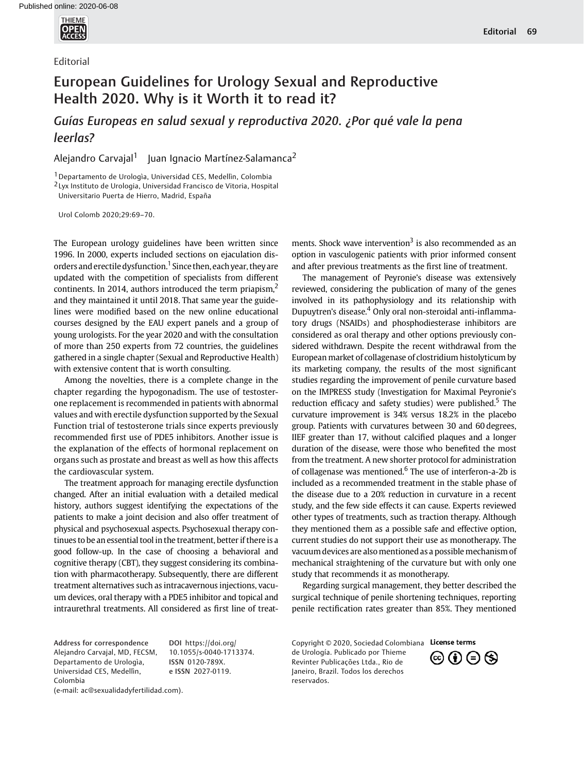

## Editorial

## European Guidelines for Urology Sexual and Reproductive Health 2020. Why is it Worth it to read it?

## Guías Europeas en salud sexual y reproductiva 2020. ¿Por qué vale la pena leerlas?

Alejandro Carvajal<sup>1</sup> Juan Ignacio Martínez-Salamanca<sup>2</sup>

1Departamento de Urologìa, Universidad CES, Medellìn, Colombia 2 Lyx Instituto de Urologia, Universidad Francisco de Vitoria, Hospital

Universitario Puerta de Hierro, Madrid, España

Urol Colomb 2020;29:69–70.

The European urology guidelines have been written since 1996. In 2000, experts included sections on ejaculation disorders and erectile dysfunction.<sup>1</sup> Since then, each year, they are updated with the competition of specialists from different continents. In 2014, authors introduced the term priapism, $<sup>2</sup>$ </sup> and they maintained it until 2018. That same year the guidelines were modified based on the new online educational courses designed by the EAU expert panels and a group of young urologists. For the year 2020 and with the consultation of more than 250 experts from 72 countries, the guidelines gathered in a single chapter (Sexual and Reproductive Health) with extensive content that is worth consulting.

Among the novelties, there is a complete change in the chapter regarding the hypogonadism. The use of testosterone replacement is recommended in patients with abnormal values and with erectile dysfunction supported by the Sexual Function trial of testosterone trials since experts previously recommended first use of PDE5 inhibitors. Another issue is the explanation of the effects of hormonal replacement on organs such as prostate and breast as well as how this affects the cardiovascular system.

The treatment approach for managing erectile dysfunction changed. After an initial evaluation with a detailed medical history, authors suggest identifying the expectations of the patients to make a joint decision and also offer treatment of physical and psychosexual aspects. Psychosexual therapy continues to be an essential tool in the treatment, better if there is a good follow-up. In the case of choosing a behavioral and cognitive therapy (CBT), they suggest considering its combination with pharmacotherapy. Subsequently, there are different treatment alternatives such as intracavernous injections, vacuum devices, oral therapy with a PDE5 inhibitor and topical and intraurethral treatments. All considered as first line of treatments. Shock wave intervention<sup>3</sup> is also recommended as an option in vasculogenic patients with prior informed consent and after previous treatments as the first line of treatment.

The management of Peyronie's disease was extensively reviewed, considering the publication of many of the genes involved in its pathophysiology and its relationship with Dupuytren's disease.<sup>4</sup> Only oral non-steroidal anti-inflammatory drugs (NSAIDs) and phosphodiesterase inhibitors are considered as oral therapy and other options previously considered withdrawn. Despite the recent withdrawal from the European market of collagenase of clostridium histolyticum by its marketing company, the results of the most significant studies regarding the improvement of penile curvature based on the IMPRESS study (Investigation for Maximal Peyronie's reduction efficacy and safety studies) were published. $5$  The curvature improvement is 34% versus 18.2% in the placebo group. Patients with curvatures between 30 and 60 degrees, IIEF greater than 17, without calcified plaques and a longer duration of the disease, were those who benefited the most from the treatment. A new shorter protocol for administration of collagenase was mentioned. $6$  The use of interferon-a-2b is included as a recommended treatment in the stable phase of the disease due to a 20% reduction in curvature in a recent study, and the few side effects it can cause. Experts reviewed other types of treatments, such as traction therapy. Although they mentioned them as a possible safe and effective option, current studies do not support their use as monotherapy. The vacuum devices are also mentioned as a possible mechanism of mechanical straightening of the curvature but with only one study that recommends it as monotherapy.

Regarding surgical management, they better described the surgical technique of penile shortening techniques, reporting penile rectification rates greater than 85%. They mentioned

Address for correspondence Alejandro Carvajal, MD, FECSM, Departamento de Urologìa, Universidad CES, Medellìn, Colombia (e-mail: [ac@sexualidadyfertilidad.com\)](mailto:).

DOI [https://doi.org/](https://doi.org/10.1055/s-0040-1713374) [10.1055/s-0040-1713374](https://doi.org/10.1055/s-0040-1713374). ISSN 0120-789X. e ISSN 2027-0119.

Copyright © 2020, Sociedad Colombiana License terms de Urología. Publicado por Thieme Revinter Publicações Ltda., Rio de Janeiro, Brazil. Todos los derechos reservados.